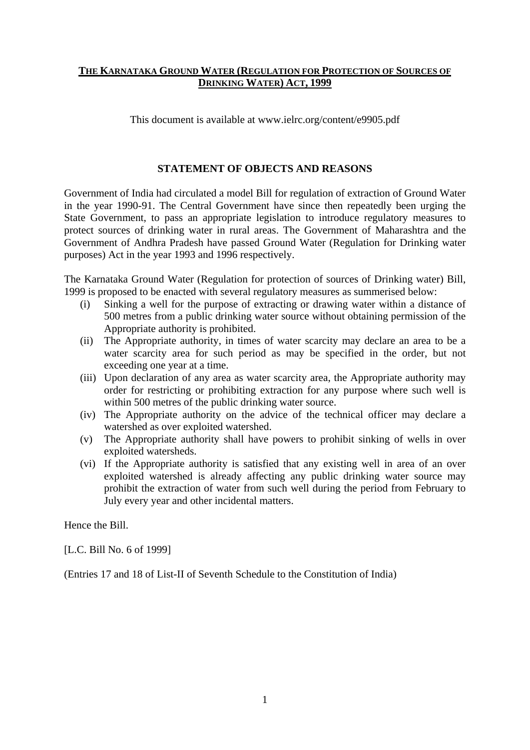### **THE KARNATAKA GROUND WATER (REGULATION FOR PROTECTION OF SOURCES OF DRINKING WATER) ACT, 1999**

This document is available at www.ielrc.org/content/e9905.pdf

#### **STATEMENT OF OBJECTS AND REASONS**

Government of India had circulated a model Bill for regulation of extraction of Ground Water in the year 1990-91. The Central Government have since then repeatedly been urging the State Government, to pass an appropriate legislation to introduce regulatory measures to protect sources of drinking water in rural areas. The Government of Maharashtra and the Government of Andhra Pradesh have passed Ground Water (Regulation for Drinking water purposes) Act in the year 1993 and 1996 respectively.

The Karnataka Ground Water (Regulation for protection of sources of Drinking water) Bill, 1999 is proposed to be enacted with several regulatory measures as summerised below:

- (i) Sinking a well for the purpose of extracting or drawing water within a distance of 500 metres from a public drinking water source without obtaining permission of the Appropriate authority is prohibited.
- (ii) The Appropriate authority, in times of water scarcity may declare an area to be a water scarcity area for such period as may be specified in the order, but not exceeding one year at a time.
- (iii) Upon declaration of any area as water scarcity area, the Appropriate authority may order for restricting or prohibiting extraction for any purpose where such well is within 500 metres of the public drinking water source.
- (iv) The Appropriate authority on the advice of the technical officer may declare a watershed as over exploited watershed.
- (v) The Appropriate authority shall have powers to prohibit sinking of wells in over exploited watersheds.
- (vi) If the Appropriate authority is satisfied that any existing well in area of an over exploited watershed is already affecting any public drinking water source may prohibit the extraction of water from such well during the period from February to July every year and other incidental matters.

Hence the Bill.

[L.C. Bill No. 6 of 1999]

(Entries 17 and 18 of List-II of Seventh Schedule to the Constitution of India)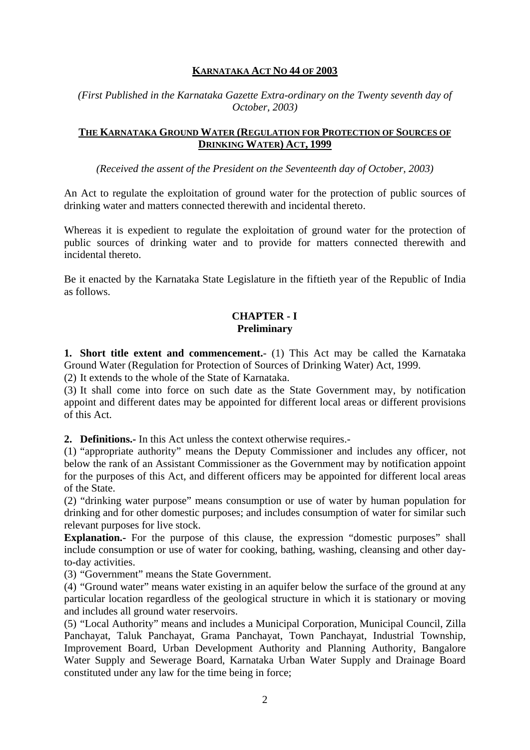# **KARNATAKA ACT NO 44 OF 2003**

*(First Published in the Karnataka Gazette Extra-ordinary on the Twenty seventh day of October, 2003)* 

## **THE KARNATAKA GROUND WATER (REGULATION FOR PROTECTION OF SOURCES OF DRINKING WATER) ACT, 1999**

*(Received the assent of the President on the Seventeenth day of October, 2003)* 

An Act to regulate the exploitation of ground water for the protection of public sources of drinking water and matters connected therewith and incidental thereto.

Whereas it is expedient to regulate the exploitation of ground water for the protection of public sources of drinking water and to provide for matters connected therewith and incidental thereto.

Be it enacted by the Karnataka State Legislature in the fiftieth year of the Republic of India as follows.

## **CHAPTER - I Preliminary**

**1. Short title extent and commencement.**- (1) This Act may be called the Karnataka Ground Water (Regulation for Protection of Sources of Drinking Water) Act, 1999.

(2) It extends to the whole of the State of Karnataka.

(3) It shall come into force on such date as the State Government may, by notification appoint and different dates may be appointed for different local areas or different provisions of this Act.

**2. Definitions.-** In this Act unless the context otherwise requires.-

(1) "appropriate authority" means the Deputy Commissioner and includes any officer, not below the rank of an Assistant Commissioner as the Government may by notification appoint for the purposes of this Act, and different officers may be appointed for different local areas of the State.

(2) "drinking water purpose" means consumption or use of water by human population for drinking and for other domestic purposes; and includes consumption of water for similar such relevant purposes for live stock.

**Explanation.**- For the purpose of this clause, the expression "domestic purposes" shall include consumption or use of water for cooking, bathing, washing, cleansing and other dayto-day activities.

(3) "Government" means the State Government.

(4) "Ground water" means water existing in an aquifer below the surface of the ground at any particular location regardless of the geological structure in which it is stationary or moving and includes all ground water reservoirs.

(5) "Local Authority" means and includes a Municipal Corporation, Municipal Council, Zilla Panchayat, Taluk Panchayat, Grama Panchayat, Town Panchayat, Industrial Township, Improvement Board, Urban Development Authority and Planning Authority, Bangalore Water Supply and Sewerage Board, Karnataka Urban Water Supply and Drainage Board constituted under any law for the time being in force;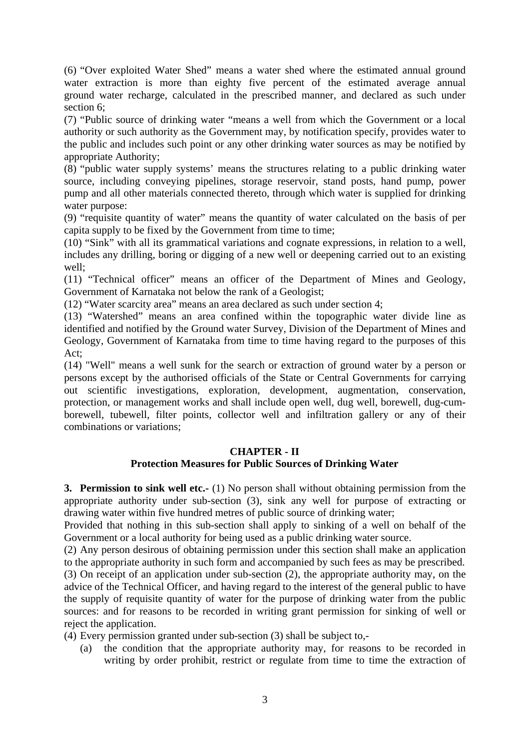(6) "Over exploited Water Shed" means a water shed where the estimated annual ground water extraction is more than eighty five percent of the estimated average annual ground water recharge, calculated in the prescribed manner, and declared as such under section 6;

(7) "Public source of drinking water "means a well from which the Government or a local authority or such authority as the Government may, by notification specify, provides water to the public and includes such point or any other drinking water sources as may be notified by appropriate Authority;

(8) "public water supply systems' means the structures relating to a public drinking water source, including conveying pipelines, storage reservoir, stand posts, hand pump, power pump and all other materials connected thereto, through which water is supplied for drinking water purpose:

(9) "requisite quantity of water" means the quantity of water calculated on the basis of per capita supply to be fixed by the Government from time to time;

(10) "Sink" with all its grammatical variations and cognate expressions, in relation to a well, includes any drilling, boring or digging of a new well or deepening carried out to an existing well;

(11) "Technical officer" means an officer of the Department of Mines and Geology, Government of Karnataka not below the rank of a Geologist;

(12) "Water scarcity area" means an area declared as such under section 4;

(13) "Watershed" means an area confined within the topographic water divide line as identified and notified by the Ground water Survey, Division of the Department of Mines and Geology, Government of Karnataka from time to time having regard to the purposes of this Act;

(14) "Well" means a well sunk for the search or extraction of ground water by a person or persons except by the authorised officials of the State or Central Governments for carrying out scientific investigations, exploration, development, augmentation, conservation, protection, or management works and shall include open well, dug well, borewell, dug-cumborewell, tubewell, filter points, collector well and infiltration gallery or any of their combinations or variations;

# **CHAPTER - II**

# **Protection Measures for Public Sources of Drinking Water**

**3. Permission to sink well etc.-** (1) No person shall without obtaining permission from the appropriate authority under sub-section (3), sink any well for purpose of extracting or drawing water within five hundred metres of public source of drinking water;

Provided that nothing in this sub-section shall apply to sinking of a well on behalf of the Government or a local authority for being used as a public drinking water source.

(2) Any person desirous of obtaining permission under this section shall make an application to the appropriate authority in such form and accompanied by such fees as may be prescribed. (3) On receipt of an application under sub-section (2), the appropriate authority may, on the advice of the Technical Officer, and having regard to the interest of the general public to have the supply of requisite quantity of water for the purpose of drinking water from the public sources: and for reasons to be recorded in writing grant permission for sinking of well or reject the application.

(4) Every permission granted under sub-section (3) shall be subject to,-

 (a) the condition that the appropriate authority may, for reasons to be recorded in writing by order prohibit, restrict or regulate from time to time the extraction of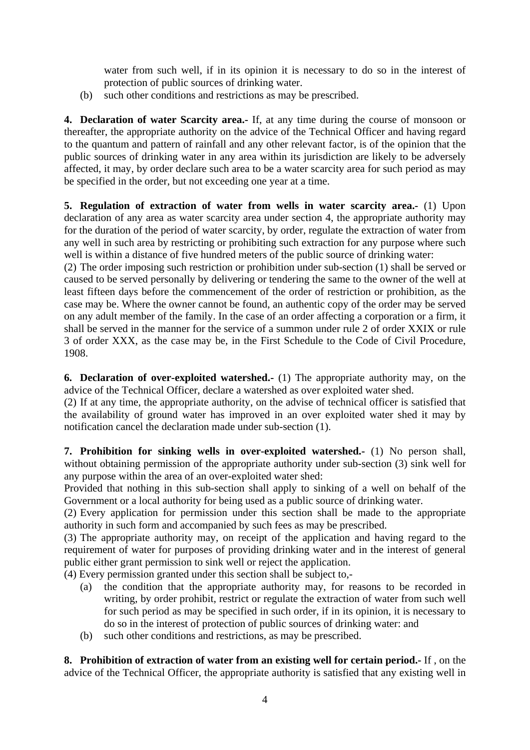water from such well, if in its opinion it is necessary to do so in the interest of protection of public sources of drinking water.

(b) such other conditions and restrictions as may be prescribed.

**4. Declaration of water Scarcity area.-** If, at any time during the course of monsoon or thereafter, the appropriate authority on the advice of the Technical Officer and having regard to the quantum and pattern of rainfall and any other relevant factor, is of the opinion that the public sources of drinking water in any area within its jurisdiction are likely to be adversely affected, it may, by order declare such area to be a water scarcity area for such period as may be specified in the order, but not exceeding one year at a time.

**5. Regulation of extraction of water from wells in water scarcity area.-** (1) Upon declaration of any area as water scarcity area under section 4, the appropriate authority may for the duration of the period of water scarcity, by order, regulate the extraction of water from any well in such area by restricting or prohibiting such extraction for any purpose where such well is within a distance of five hundred meters of the public source of drinking water:

(2) The order imposing such restriction or prohibition under sub-section (1) shall be served or caused to be served personally by delivering or tendering the same to the owner of the well at least fifteen days before the commencement of the order of restriction or prohibition, as the case may be. Where the owner cannot be found, an authentic copy of the order may be served on any adult member of the family. In the case of an order affecting a corporation or a firm, it shall be served in the manner for the service of a summon under rule 2 of order XXIX or rule 3 of order XXX, as the case may be, in the First Schedule to the Code of Civil Procedure, 1908.

**6. Declaration of over-exploited watershed.-** (1) The appropriate authority may, on the advice of the Technical Officer, declare a watershed as over exploited water shed.

(2) If at any time, the appropriate authority, on the advise of technical officer is satisfied that the availability of ground water has improved in an over exploited water shed it may by notification cancel the declaration made under sub-section (1).

**7. Prohibition for sinking wells in over-exploited watershed.-** (1) No person shall, without obtaining permission of the appropriate authority under sub-section (3) sink well for any purpose within the area of an over-exploited water shed:

Provided that nothing in this sub-section shall apply to sinking of a well on behalf of the Government or a local authority for being used as a public source of drinking water.

(2) Every application for permission under this section shall be made to the appropriate authority in such form and accompanied by such fees as may be prescribed.

(3) The appropriate authority may, on receipt of the application and having regard to the requirement of water for purposes of providing drinking water and in the interest of general public either grant permission to sink well or reject the application.

(4) Every permission granted under this section shall be subject to,-

- (a) the condition that the appropriate authority may, for reasons to be recorded in writing, by order prohibit, restrict or regulate the extraction of water from such well for such period as may be specified in such order, if in its opinion, it is necessary to do so in the interest of protection of public sources of drinking water: and
- (b) such other conditions and restrictions, as may be prescribed.

**8. Prohibition of extraction of water from an existing well for certain period.-** If , on the advice of the Technical Officer, the appropriate authority is satisfied that any existing well in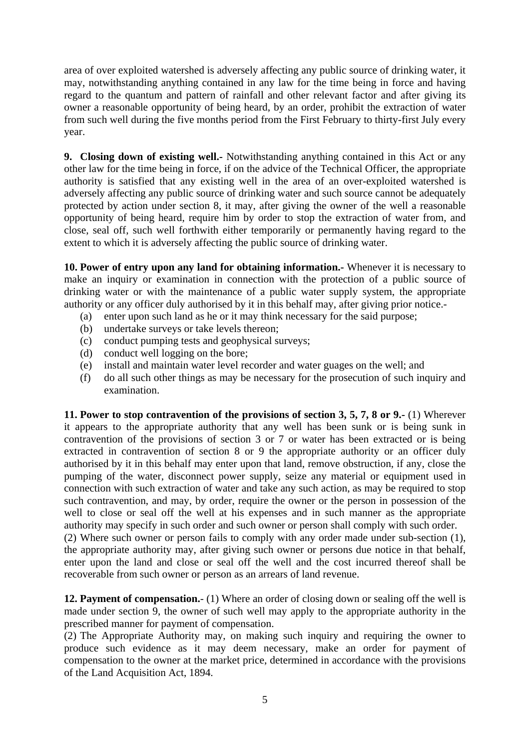area of over exploited watershed is adversely affecting any public source of drinking water, it may, notwithstanding anything contained in any law for the time being in force and having regard to the quantum and pattern of rainfall and other relevant factor and after giving its owner a reasonable opportunity of being heard, by an order, prohibit the extraction of water from such well during the five months period from the First February to thirty-first July every year.

**9. Closing down of existing well.-** Notwithstanding anything contained in this Act or any other law for the time being in force, if on the advice of the Technical Officer, the appropriate authority is satisfied that any existing well in the area of an over-exploited watershed is adversely affecting any public source of drinking water and such source cannot be adequately protected by action under section 8, it may, after giving the owner of the well a reasonable opportunity of being heard, require him by order to stop the extraction of water from, and close, seal off, such well forthwith either temporarily or permanently having regard to the extent to which it is adversely affecting the public source of drinking water.

**10. Power of entry upon any land for obtaining information.-** Whenever it is necessary to make an inquiry or examination in connection with the protection of a public source of drinking water or with the maintenance of a public water supply system, the appropriate authority or any officer duly authorised by it in this behalf may, after giving prior notice.-

- (a) enter upon such land as he or it may think necessary for the said purpose;
- (b) undertake surveys or take levels thereon;
- (c) conduct pumping tests and geophysical surveys;
- (d) conduct well logging on the bore;
- (e) install and maintain water level recorder and water guages on the well; and
- (f) do all such other things as may be necessary for the prosecution of such inquiry and examination.

**11. Power to stop contravention of the provisions of section 3, 5, 7, 8 or 9.-** (1) Wherever it appears to the appropriate authority that any well has been sunk or is being sunk in contravention of the provisions of section 3 or 7 or water has been extracted or is being extracted in contravention of section 8 or 9 the appropriate authority or an officer duly authorised by it in this behalf may enter upon that land, remove obstruction, if any, close the pumping of the water, disconnect power supply, seize any material or equipment used in connection with such extraction of water and take any such action, as may be required to stop such contravention, and may, by order, require the owner or the person in possession of the well to close or seal off the well at his expenses and in such manner as the appropriate authority may specify in such order and such owner or person shall comply with such order.

(2) Where such owner or person fails to comply with any order made under sub-section (1), the appropriate authority may, after giving such owner or persons due notice in that behalf, enter upon the land and close or seal off the well and the cost incurred thereof shall be recoverable from such owner or person as an arrears of land revenue.

**12. Payment of compensation.**- (1) Where an order of closing down or sealing off the well is made under section 9, the owner of such well may apply to the appropriate authority in the prescribed manner for payment of compensation.

(2) The Appropriate Authority may, on making such inquiry and requiring the owner to produce such evidence as it may deem necessary, make an order for payment of compensation to the owner at the market price, determined in accordance with the provisions of the Land Acquisition Act, 1894.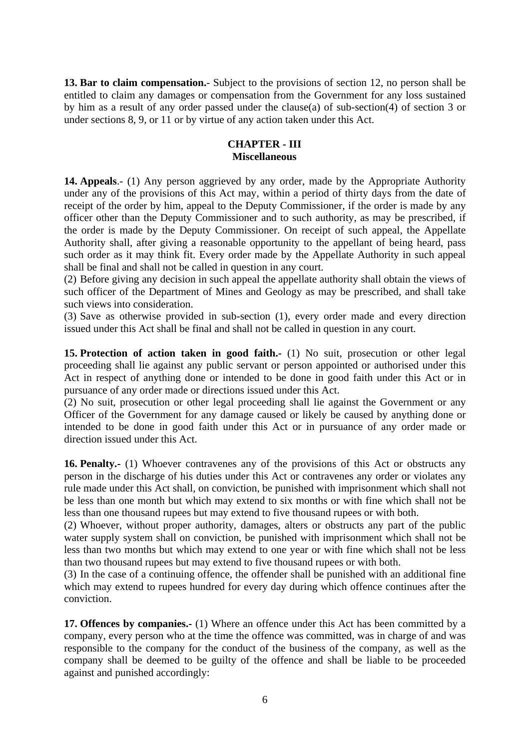**13. Bar to claim compensation.**- Subject to the provisions of section 12, no person shall be entitled to claim any damages or compensation from the Government for any loss sustained by him as a result of any order passed under the clause(a) of sub-section(4) of section 3 or under sections 8, 9, or 11 or by virtue of any action taken under this Act.

#### **CHAPTER - III Miscellaneous**

**14. Appeals**.- (1) Any person aggrieved by any order, made by the Appropriate Authority under any of the provisions of this Act may, within a period of thirty days from the date of receipt of the order by him, appeal to the Deputy Commissioner, if the order is made by any officer other than the Deputy Commissioner and to such authority, as may be prescribed, if the order is made by the Deputy Commissioner. On receipt of such appeal, the Appellate Authority shall, after giving a reasonable opportunity to the appellant of being heard, pass such order as it may think fit. Every order made by the Appellate Authority in such appeal shall be final and shall not be called in question in any court.

(2) Before giving any decision in such appeal the appellate authority shall obtain the views of such officer of the Department of Mines and Geology as may be prescribed, and shall take such views into consideration.

(3) Save as otherwise provided in sub-section (1), every order made and every direction issued under this Act shall be final and shall not be called in question in any court.

**15. Protection of action taken in good faith.-** (1) No suit, prosecution or other legal proceeding shall lie against any public servant or person appointed or authorised under this Act in respect of anything done or intended to be done in good faith under this Act or in pursuance of any order made or directions issued under this Act.

(2) No suit, prosecution or other legal proceeding shall lie against the Government or any Officer of the Government for any damage caused or likely be caused by anything done or intended to be done in good faith under this Act or in pursuance of any order made or direction issued under this Act.

**16. Penalty.-** (1) Whoever contravenes any of the provisions of this Act or obstructs any person in the discharge of his duties under this Act or contravenes any order or violates any rule made under this Act shall, on conviction, be punished with imprisonment which shall not be less than one month but which may extend to six months or with fine which shall not be less than one thousand rupees but may extend to five thousand rupees or with both.

(2) Whoever, without proper authority, damages, alters or obstructs any part of the public water supply system shall on conviction, be punished with imprisonment which shall not be less than two months but which may extend to one year or with fine which shall not be less than two thousand rupees but may extend to five thousand rupees or with both.

(3) In the case of a continuing offence, the offender shall be punished with an additional fine which may extend to rupees hundred for every day during which offence continues after the conviction.

**17. Offences by companies.-** (1) Where an offence under this Act has been committed by a company, every person who at the time the offence was committed, was in charge of and was responsible to the company for the conduct of the business of the company, as well as the company shall be deemed to be guilty of the offence and shall be liable to be proceeded against and punished accordingly: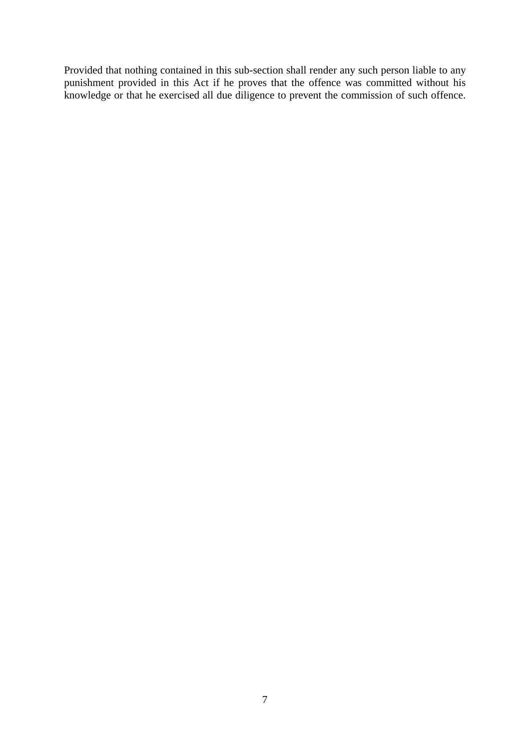Provided that nothing contained in this sub-section shall render any such person liable to any punishment provided in this Act if he proves that the offence was committed without his knowledge or that he exercised all due diligence to prevent the commission of such offence.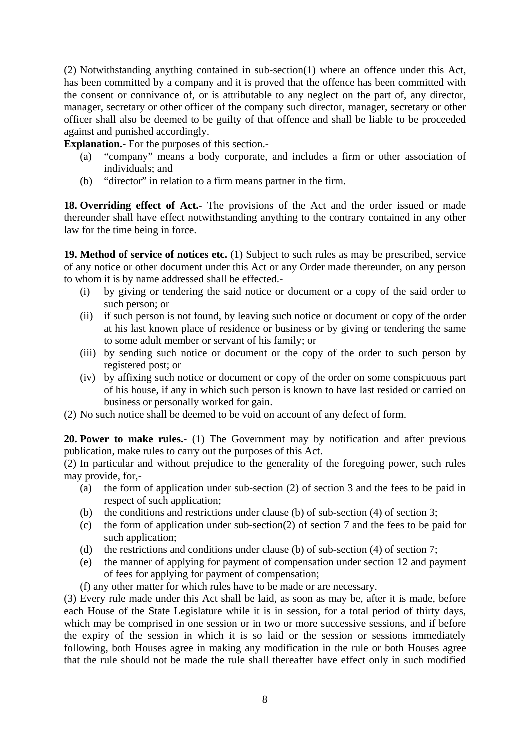(2) Notwithstanding anything contained in sub-section(1) where an offence under this Act, has been committed by a company and it is proved that the offence has been committed with the consent or connivance of, or is attributable to any neglect on the part of, any director, manager, secretary or other officer of the company such director, manager, secretary or other officer shall also be deemed to be guilty of that offence and shall be liable to be proceeded against and punished accordingly.

**Explanation.-** For the purposes of this section.-

- (a) "company" means a body corporate, and includes a firm or other association of individuals; and
- (b) "director" in relation to a firm means partner in the firm.

**18. Overriding effect of Act.-** The provisions of the Act and the order issued or made thereunder shall have effect notwithstanding anything to the contrary contained in any other law for the time being in force.

**19. Method of service of notices etc.** (1) Subject to such rules as may be prescribed, service of any notice or other document under this Act or any Order made thereunder, on any person to whom it is by name addressed shall be effected.-

- (i) by giving or tendering the said notice or document or a copy of the said order to such person; or
- (ii) if such person is not found, by leaving such notice or document or copy of the order at his last known place of residence or business or by giving or tendering the same to some adult member or servant of his family; or
- (iii) by sending such notice or document or the copy of the order to such person by registered post; or
- (iv) by affixing such notice or document or copy of the order on some conspicuous part of his house, if any in which such person is known to have last resided or carried on business or personally worked for gain.
- (2) No such notice shall be deemed to be void on account of any defect of form.

**20. Power to make rules.-** (1) The Government may by notification and after previous publication, make rules to carry out the purposes of this Act.

(2) In particular and without prejudice to the generality of the foregoing power, such rules may provide, for,-

- (a) the form of application under sub-section (2) of section 3 and the fees to be paid in respect of such application;
- (b) the conditions and restrictions under clause (b) of sub-section (4) of section 3;
- (c) the form of application under sub-section(2) of section 7 and the fees to be paid for such application;
- (d) the restrictions and conditions under clause (b) of sub-section (4) of section 7;
- (e) the manner of applying for payment of compensation under section 12 and payment of fees for applying for payment of compensation;
- (f) any other matter for which rules have to be made or are necessary.

(3) Every rule made under this Act shall be laid, as soon as may be, after it is made, before each House of the State Legislature while it is in session, for a total period of thirty days, which may be comprised in one session or in two or more successive sessions, and if before the expiry of the session in which it is so laid or the session or sessions immediately following, both Houses agree in making any modification in the rule or both Houses agree that the rule should not be made the rule shall thereafter have effect only in such modified